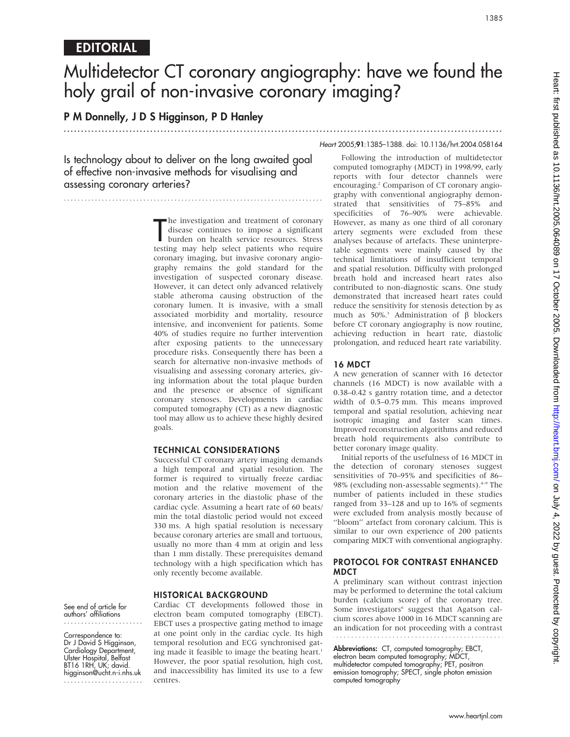# Multidetector CT coronary angiography: have we found the holy grail of non-invasive coronary imaging?

...............................................................................................................................

# P M Donnelly, J D S Higginson, P D Hanley

Is technology about to deliver on the long awaited goal of effective non-invasive methods for visualising and assessing coronary arteries?

...........................................................................

The investigation and treatment of coronary<br>disease continues to impose a significant<br>burden on health service resources. Stress<br>testing may help select patients who require he investigation and treatment of coronary disease continues to impose a significant burden on health service resources. Stress coronary imaging, but invasive coronary angiography remains the gold standard for the investigation of suspected coronary disease. However, it can detect only advanced relatively stable atheroma causing obstruction of the coronary lumen. It is invasive, with a small associated morbidity and mortality, resource intensive, and inconvenient for patients. Some 40% of studies require no further intervention after exposing patients to the unnecessary procedure risks. Consequently there has been a search for alternative non-invasive methods of visualising and assessing coronary arteries, giving information about the total plaque burden and the presence or absence of significant coronary stenoses. Developments in cardiac computed tomography (CT) as a new diagnostic tool may allow us to achieve these highly desired goals.

## TECHNICAL CONSIDERATIONS

Successful CT coronary artery imaging demands a high temporal and spatial resolution. The former is required to virtually freeze cardiac motion and the relative movement of the coronary arteries in the diastolic phase of the cardiac cycle. Assuming a heart rate of 60 beats/ min the total diastolic period would not exceed 330 ms. A high spatial resolution is necessary because coronary arteries are small and tortuous, usually no more than 4 mm at origin and less than 1 mm distally. These prerequisites demand technology with a high specification which has only recently become available.

### HISTORICAL BACKGROUND

See end of article for authors' affiliations .......................

Correspondence to: Dr J David S Higginson, Cardiology Department, Ulster Hospital, Belfast BT16 1RH, UK; david. higginson@ucht.n-i.nhs.uk .......................

Cardiac CT developments followed those in electron beam computed tomography (EBCT). EBCT uses a prospective gating method to image at one point only in the cardiac cycle. Its high temporal resolution and ECG synchronised gating made it feasible to image the beating heart.<sup>1</sup> However, the poor spatial resolution, high cost, and inaccessibility has limited its use to a few centres.

#### Heart 2005;91:1385–1388. doi: 10.1136/hrt.2004.058164

Following the introduction of multidetector computed tomography (MDCT) in 1998/99, early reports with four detector channels were encouraging.2 Comparison of CT coronary angiography with conventional angiography demonstrated that sensitivities of 75–85% and specificities of 76–90% were achievable. However, as many as one third of all coronary artery segments were excluded from these analyses because of artefacts. These uninterpretable segments were mainly caused by the technical limitations of insufficient temporal and spatial resolution. Difficulty with prolonged breath hold and increased heart rates also contributed to non-diagnostic scans. One study demonstrated that increased heart rates could reduce the sensitivity for stenosis detection by as much as 50%.<sup>3</sup> Administration of  $\beta$  blockers before CT coronary angiography is now routine, achieving reduction in heart rate, diastolic prolongation, and reduced heart rate variability.

### 16 MDCT

A new generation of scanner with 16 detector channels (16 MDCT) is now available with a 0.38–0.42 s gantry rotation time, and a detector width of 0.5–0.75 mm. This means improved temporal and spatial resolution, achieving near isotropic imaging and faster scan times. Improved reconstruction algorithms and reduced breath hold requirements also contribute to better coronary image quality.

Initial reports of the usefulness of 16 MDCT in the detection of coronary stenoses suggest sensitivities of 70–95% and specificities of 86– 98% (excluding non-assessable segments).<sup>4-9</sup> The number of patients included in these studies ranged from 33–128 and up to 16% of segments were excluded from analysis mostly because of ''bloom'' artefact from coronary calcium. This is similar to our own experience of 200 patients comparing MDCT with conventional angiography.

### PROTOCOL FOR CONTRAST ENHANCED MDCT

A preliminary scan without contrast injection may be performed to determine the total calcium burden (calcium score) of the coronary tree. Some investigators<sup>6</sup> suggest that Agatson calcium scores above 1000 in 16 MDCT scanning are an indication for not proceeding with a contrast

Abbreviations: CT, computed tomography; EBCT, electron beam computed tomography; MDCT, multidetector computed tomography; PET, positron emission tomography; SPECT, single photon emission computed tomography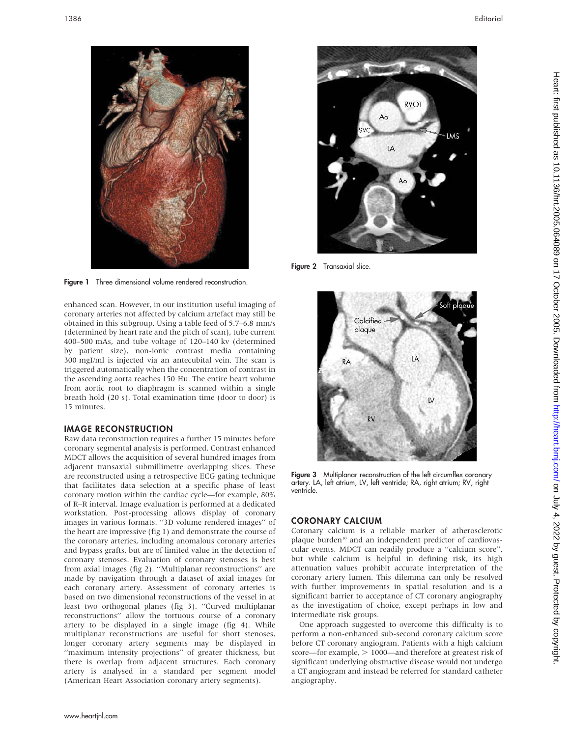

Figure 1 Three dimensional volume rendered reconstruction.

enhanced scan. However, in our institution useful imaging of coronary arteries not affected by calcium artefact may still be obtained in this subgroup. Using a table feed of 5.7–6.8 mm/s (determined by heart rate and the pitch of scan), tube current 400–500 mAs, and tube voltage of 120–140 kv (determined by patient size), non-ionic contrast media containing 300 mgI/ml is injected via an antecubital vein. The scan is triggered automatically when the concentration of contrast in the ascending aorta reaches 150 Hu. The entire heart volume from aortic root to diaphragm is scanned within a single breath hold (20 s). Total examination time (door to door) is 15 minutes.

### IMAGE RECONSTRUCTION

Raw data reconstruction requires a further 15 minutes before coronary segmental analysis is performed. Contrast enhanced MDCT allows the acquisition of several hundred images from adjacent transaxial submillimetre overlapping slices. These are reconstructed using a retrospective ECG gating technique that facilitates data selection at a specific phase of least coronary motion within the cardiac cycle—for example, 80% of R–R interval. Image evaluation is performed at a dedicated workstation. Post-processing allows display of coronary images in various formats. ''3D volume rendered images'' of the heart are impressive (fig 1) and demonstrate the course of the coronary arteries, including anomalous coronary arteries and bypass grafts, but are of limited value in the detection of coronary stenoses. Evaluation of coronary stenoses is best from axial images (fig 2). ''Multiplanar reconstructions'' are made by navigation through a dataset of axial images for each coronary artery. Assessment of coronary arteries is based on two dimensional reconstructions of the vessel in at least two orthogonal planes (fig 3). ''Curved multiplanar reconstructions'' allow the tortuous course of a coronary artery to be displayed in a single image (fig 4). While multiplanar reconstructions are useful for short stenoses, longer coronary artery segments may be displayed in ''maximum intensity projections'' of greater thickness, but there is overlap from adjacent structures. Each coronary artery is analysed in a standard per segment model (American Heart Association coronary artery segments).



Figure 2 Transaxial slice.



Figure 3 Multiplanar reconstruction of the left circumflex coronary artery. LA, left atrium, LV, left ventricle; RA, right atrium; RV, right ventricle.

### CORONARY CALCIUM

Coronary calcium is a reliable marker of atherosclerotic plaque burden<sup>10</sup> and an independent predictor of cardiovascular events. MDCT can readily produce a ''calcium score'', but while calcium is helpful in defining risk, its high attenuation values prohibit accurate interpretation of the coronary artery lumen. This dilemma can only be resolved with further improvements in spatial resolution and is a significant barrier to acceptance of CT coronary angiography as the investigation of choice, except perhaps in low and intermediate risk groups.

One approach suggested to overcome this difficulty is to perform a non-enhanced sub-second coronary calcium score before CT coronary angiogram. Patients with a high calcium score—for example,  $> 1000$ —and therefore at greatest risk of significant underlying obstructive disease would not undergo a CT angiogram and instead be referred for standard catheter angiography.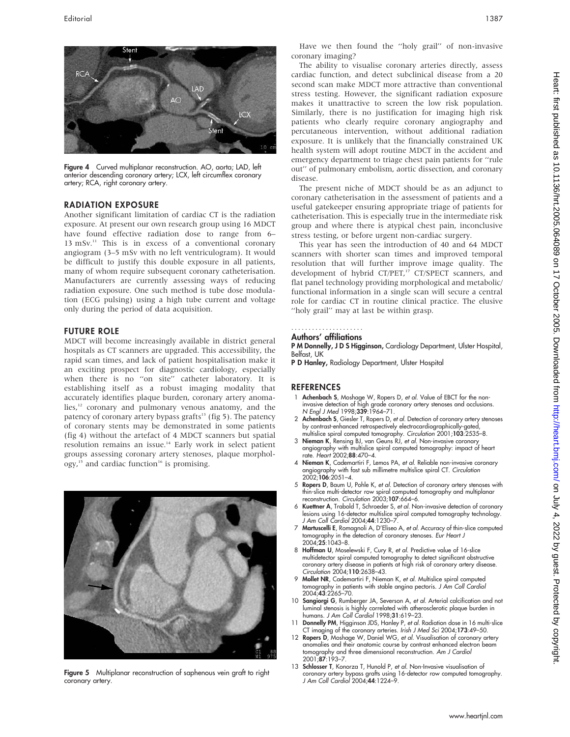

Figure 4 Curved multiplanar reconstruction. AO, aorta; LAD, left anterior descending coronary artery; LCX, left circumflex coronary artery; RCA, right coronary artery.

# RADIATION EXPOSURE

Another significant limitation of cardiac CT is the radiation exposure. At present our own research group using 16 MDCT have found effective radiation dose to range from 6– 13 mSv.11 This is in excess of a conventional coronary angiogram (3–5 mSv with no left ventriculogram). It would be difficult to justify this double exposure in all patients, many of whom require subsequent coronary catheterisation. Manufacturers are currently assessing ways of reducing radiation exposure. One such method is tube dose modulation (ECG pulsing) using a high tube current and voltage only during the period of data acquisition.

#### FUTURE ROLE

MDCT will become increasingly available in district general hospitals as CT scanners are upgraded. This accessibility, the rapid scan times, and lack of patient hospitalisation make it an exciting prospect for diagnostic cardiology, especially when there is no ''on site'' catheter laboratory. It is establishing itself as a robust imaging modality that accurately identifies plaque burden, coronary artery anomalies,<sup>12</sup> coronary and pulmonary venous anatomy, and the patency of coronary artery bypass grafts<sup>13</sup> (fig 5). The patency of coronary stents may be demonstrated in some patients (fig 4) without the artefact of 4 MDCT scanners but spatial resolution remains an issue.14 Early work in select patient groups assessing coronary artery stenoses, plaque morphol $ogy<sup>15</sup>$  and cardiac function<sup>16</sup> is promising.



Figure 5 Multiplanar reconstruction of saphenous vein graft to right coronary artery.

Have we then found the ''holy grail'' of non-invasive coronary imaging?

The ability to visualise coronary arteries directly, assess cardiac function, and detect subclinical disease from a 20 second scan make MDCT more attractive than conventional stress testing. However, the significant radiation exposure makes it unattractive to screen the low risk population. Similarly, there is no justification for imaging high risk patients who clearly require coronary angiography and percutaneous intervention, without additional radiation exposure. It is unlikely that the financially constrained UK health system will adopt routine MDCT in the accident and emergency department to triage chest pain patients for ''rule out'' of pulmonary embolism, aortic dissection, and coronary disease.

The present niche of MDCT should be as an adjunct to coronary catheterisation in the assessment of patients and a useful gatekeeper ensuring appropriate triage of patients for catheterisation. This is especially true in the intermediate risk group and where there is atypical chest pain, inconclusive stress testing, or before urgent non-cardiac surgery.

This year has seen the introduction of 40 and 64 MDCT scanners with shorter scan times and improved temporal resolution that will further improve image quality. The development of hybrid CT/PET,<sup>17</sup> CT/SPECT scanners, and flat panel technology providing morphological and metabolic/ functional information in a single scan will secure a central role for cardiac CT in routine clinical practice. The elusive "holy grail" may at last be within grasp.

#### Authors' affiliations .....................

P M Donnelly, J D S Higginson, Cardiology Department, Ulster Hospital, Belfast, UK

P D Hanley, Radiology Department, Ulster Hospital

#### **REFERENCES**

- 1 Achenbach S, Moshage W, Ropers D, et al. Value of EBCT for the noninvasive detection of high grade coronary artery stenoses and occlusions. N Engl J Med 1998;339:1964–71.
- 2 Achenbach S, Giesler T, Ropers D, et al. Detection of coronary artery stenoses by contrast-enhanced retrospectively electrocardiographically-gated, multislice spiral computed tomography. Circulation 2001;103:2535–8.
- 3 Nieman K, Rensing BJ, van Geuns RJ, et al. Non-invasive coronary angiography with multislice spiral computed tomography: impact of heart rate. Heart 2002;88:470–4.
- 4 Nieman K, Cademartiri F, Lemos PA, et al. Reliable non-invasive coronary angiography with fast sub millimetre multislice spiral CT. Circulation 2002;106:2051–4.
- 5 Ropers D, Baum U, Pohle K, et al. Detection of coronary artery stenoses with thin-slice multi-detector row spiral computed tomography and multiplanar reconstruction. Circulation 2003;107:664–6.
- 6 Kuettner A, Trabold T, Schroeder S, et al. Non-invasive detection of coronary lesions using 16-detector multislice spiral computed tomography technology. J Am Coll Cardiol 2004;44:1230–7.
- 7 Martuscelli E, Romagnoli A, D'Eliseo A, et al. Accuracy of thin-slice computed tomography in the detection of coronary stenoses. Eur Heart J 2004;25:1043–8.
- 8 Hoffman U, Moselewski F, Cury R, et al. Predictive value of 16-slice multidetector spiral computed tomography to detect significant obstructive coronary artery disease in patients at high risk of coronary artery disease. Circulation 2004;110:2638–43.
- 9 Mollet NR, Cademartiri F, Nieman K, et al. Multislice spiral computed tomography in patients with stable angina pectoris. J Am Coll Cardiol 2004;43:2265–70.
- 10 Sangiorgi G, Rumberger JA, Severson A, et al. Arterial calcification and not luminal stenosis is highly correlated with atherosclerotic plaque burden in<br>humans. *J Am Coll Cardiol* 1998;**31**:619–23.
- 11 **Donnelly PM**, Higginson JDS, Hanley P, et al. Radiation dose in 16 multi-slice CT imaging of the coronary arteries. Irish J Med Sci 2004;173:49–50.
- 12 Ropers D, Moshage W, Daniel WG, et al. Visualisation of coronary artery anomalies and their anatomic course by contrast enhanced electron beam tomography and three dimensional reconstruction. Am J Cardiol 2001<sup>:</sup>87:193–7.
- 13 Schlosser T, Konorza T, Hunold P, et al. Non-Invasive visualisation of coronary artery bypass grafts using 16-detector row computed tomography. J Am Coll Cardiol 2004;44:1224–9.